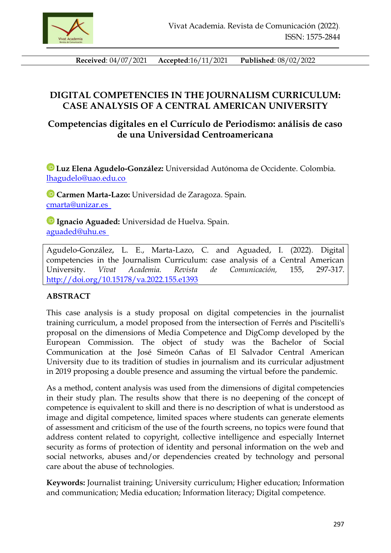

**Received**: 04/07/2021 **Accepted**:16/11/2021 **Published**: 08/02/2022

# **DIGITAL COMPETENCIES IN THE JOURNALISM CURRICULUM: CASE ANALYSIS OF A CENTRAL AMERICAN UNIVERSITY**

## **Competencias digitales en el Currículo de Periodismo: análisis de caso de una Universidad Centroamericana**

**Luz Elena Agudelo-González:** Universidad Autónoma de Occidente. Colombia. [lhagudelo@uao.edu.co](mailto:lhagudelo@uao.edu.co) 

**Carmen Marta-Lazo:** Universidad de Zaragoza. Spain. [cmarta@unizar.es](mailto:cmarta@unizar.es)

**Ignacio Aguaded:** Universidad de Huelva. Spain. [aguaded@uhu.es](mailto:aguaded@uhu.es)

Agudelo-González, L. E., Marta-Lazo, C. and Aguaded, I. (2022). Digital competencies in the Journalism Curriculum: case analysis of a Central American University. *Vivat Academia. Revista de Comunicación,* 155, 297-317. <http://doi.org/10.15178/va.2022.155.e1393>

### **ABSTRACT**

This case analysis is a study proposal on digital competencies in the journalist training curriculum, a model proposed from the intersection of Ferrés and Piscitelli's proposal on the dimensions of Media Competence and DigComp developed by the European Commission. The object of study was the Bachelor of Social Communication at the José Simeón Cañas of El Salvador Central American University due to its tradition of studies in journalism and its curricular adjustment in 2019 proposing a double presence and assuming the virtual before the pandemic.

As a method, content analysis was used from the dimensions of digital competencies in their study plan. The results show that there is no deepening of the concept of competence is equivalent to skill and there is no description of what is understood as image and digital competence, limited spaces where students can generate elements of assessment and criticism of the use of the fourth screens, no topics were found that address content related to copyright, collective intelligence and especially Internet security as forms of protection of identity and personal information on the web and social networks, abuses and/or dependencies created by technology and personal care about the abuse of technologies.

**Keywords:** Journalist training; University curriculum; Higher education; Information and communication; Media education; Information literacy; Digital competence.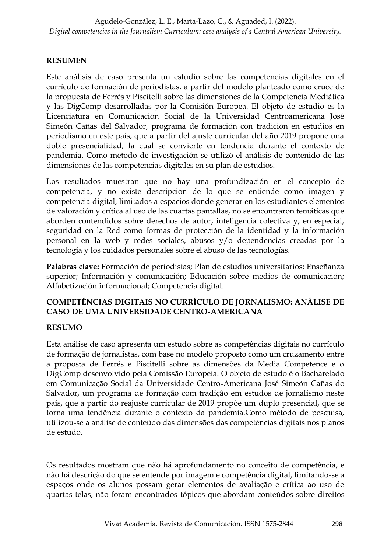## **RESUMEN**

Este análisis de caso presenta un estudio sobre las competencias digitales en el currículo de formación de periodistas, a partir del modelo planteado como cruce de la propuesta de Ferrés y Piscitelli sobre las dimensiones de la Competencia Mediática y las DigComp desarrolladas por la Comisión Europea. El objeto de estudio es la Licenciatura en Comunicación Social de la Universidad Centroamericana José Simeón Cañas del Salvador, programa de formación con tradición en estudios en periodismo en este país, que a partir del ajuste curricular del año 2019 propone una doble presencialidad, la cual se convierte en tendencia durante el contexto de pandemia. Como método de investigación se utilizó el análisis de contenido de las dimensiones de las competencias digitales en su plan de estudios.

Los resultados muestran que no hay una profundización en el concepto de competencia, y no existe descripción de lo que se entiende como imagen y competencia digital, limitados a espacios donde generar en los estudiantes elementos de valoración y crítica al uso de las cuartas pantallas, no se encontraron temáticas que aborden contendidos sobre derechos de autor, inteligencia colectiva y, en especial, seguridad en la Red como formas de protección de la identidad y la información personal en la web y redes sociales, abusos y/o dependencias creadas por la tecnología y los cuidados personales sobre el abuso de las tecnologías.

**Palabras clave:** Formación de periodistas; Plan de estudios universitarios; Enseñanza superior; Información y comunicación; Educación sobre medios de comunicación; Alfabetización informacional; Competencia digital.

### **COMPETÊNCIAS DIGITAIS NO CURRÍCULO DE JORNALISMO: ANÁLISE DE CASO DE UMA UNIVERSIDADE CENTRO-AMERICANA**

#### **RESUMO**

Esta análise de caso apresenta um estudo sobre as competências digitais no currículo de formação de jornalistas, com base no modelo proposto como um cruzamento entre a proposta de Ferrés e Piscitelli sobre as dimensões da Media Competence e o DigComp desenvolvido pela Comissão Europeia. O objeto de estudo é o Bacharelado em Comunicação Social da Universidade Centro-Americana José Simeón Cañas do Salvador, um programa de formação com tradição em estudos de jornalismo neste país, que a partir do reajuste curricular de 2019 propõe um duplo presencial, que se torna uma tendência durante o contexto da pandemia.Como método de pesquisa, utilizou-se a análise de conteúdo das dimensões das competências digitais nos planos de estudo.

Os resultados mostram que não há aprofundamento no conceito de competência, e não há descrição do que se entende por imagem e competência digital, limitando-se a espaços onde os alunos possam gerar elementos de avaliação e crítica ao uso de quartas telas, não foram encontrados tópicos que abordam conteúdos sobre direitos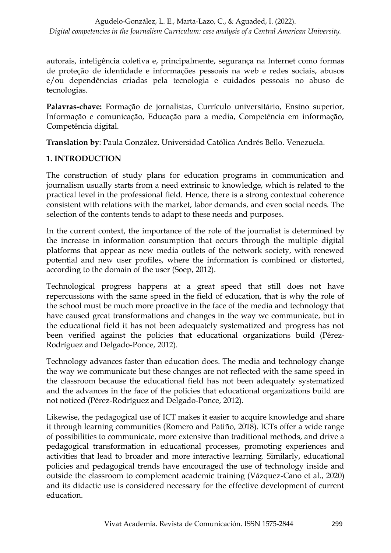autorais, inteligência coletiva e, principalmente, segurança na Internet como formas de proteção de identidade e informações pessoais na web e redes sociais, abusos e/ou dependências criadas pela tecnologia e cuidados pessoais no abuso de tecnologias.

**Palavras-chave:** Formação de jornalistas, Currículo universitário, Ensino superior, Informação e comunicação, Educação para a media, Competência em informação, Competência digital.

**Translation by**: Paula González. Universidad Católica Andrés Bello. Venezuela.

## **1. INTRODUCTION**

The construction of study plans for education programs in communication and journalism usually starts from a need extrinsic to knowledge, which is related to the practical level in the professional field. Hence, there is a strong contextual coherence consistent with relations with the market, labor demands, and even social needs. The selection of the contents tends to adapt to these needs and purposes.

In the current context, the importance of the role of the journalist is determined by the increase in information consumption that occurs through the multiple digital platforms that appear as new media outlets of the network society, with renewed potential and new user profiles, where the information is combined or distorted, according to the domain of the user (Soep, 2012).

Technological progress happens at a great speed that still does not have repercussions with the same speed in the field of education, that is why the role of the school must be much more proactive in the face of the media and technology that have caused great transformations and changes in the way we communicate, but in the educational field it has not been adequately systematized and progress has not been verified against the policies that educational organizations build (Pérez-Rodríguez and Delgado-Ponce, 2012).

Technology advances faster than education does. The media and technology change the way we communicate but these changes are not reflected with the same speed in the classroom because the educational field has not been adequately systematized and the advances in the face of the policies that educational organizations build are not noticed (Pérez-Rodríguez and Delgado-Ponce, 2012).

Likewise, the pedagogical use of ICT makes it easier to acquire knowledge and share it through learning communities (Romero and Patiño, 2018). ICTs offer a wide range of possibilities to communicate, more extensive than traditional methods, and drive a pedagogical transformation in educational processes, promoting experiences and activities that lead to broader and more interactive learning. Similarly, educational policies and pedagogical trends have encouraged the use of technology inside and outside the classroom to complement academic training (Vázquez-Cano et al., 2020) and its didactic use is considered necessary for the effective development of current education.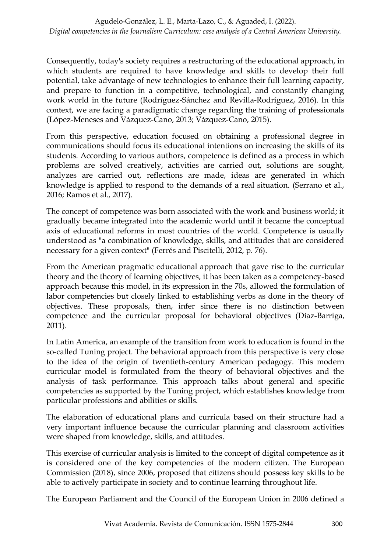Consequently, today's society requires a restructuring of the educational approach, in which students are required to have knowledge and skills to develop their full potential, take advantage of new technologies to enhance their full learning capacity, and prepare to function in a competitive, technological, and constantly changing work world in the future (Rodríguez-Sánchez and Revilla-Rodríguez, 2016). In this context, we are facing a paradigmatic change regarding the training of professionals (López-Meneses and Vázquez-Cano, 2013; Vázquez-Cano, 2015).

From this perspective, education focused on obtaining a professional degree in communications should focus its educational intentions on increasing the skills of its students. According to various authors, competence is defined as a process in which problems are solved creatively, activities are carried out, solutions are sought, analyzes are carried out, reflections are made, ideas are generated in which knowledge is applied to respond to the demands of a real situation. (Serrano et al., 2016; Ramos et al., 2017).

The concept of competence was born associated with the work and business world; it gradually became integrated into the academic world until it became the conceptual axis of educational reforms in most countries of the world. Competence is usually understood as "a combination of knowledge, skills, and attitudes that are considered necessary for a given context" (Ferrés and Piscitelli, 2012, p. 76).

From the American pragmatic educational approach that gave rise to the curricular theory and the theory of learning objectives, it has been taken as a competency-based approach because this model, in its expression in the 70s, allowed the formulation of labor competencies but closely linked to establishing verbs as done in the theory of objectives. These proposals, then, infer since there is no distinction between competence and the curricular proposal for behavioral objectives (Díaz-Barriga, 2011).

In Latin America, an example of the transition from work to education is found in the so-called Tuning project. The behavioral approach from this perspective is very close to the idea of the origin of twentieth-century American pedagogy. This modern curricular model is formulated from the theory of behavioral objectives and the analysis of task performance. This approach talks about general and specific competencies as supported by the Tuning project, which establishes knowledge from particular professions and abilities or skills.

The elaboration of educational plans and curricula based on their structure had a very important influence because the curricular planning and classroom activities were shaped from knowledge, skills, and attitudes.

This exercise of curricular analysis is limited to the concept of digital competence as it is considered one of the key competencies of the modern citizen. The European Commission (2018), since 2006, proposed that citizens should possess key skills to be able to actively participate in society and to continue learning throughout life.

The European Parliament and the Council of the European Union in 2006 defined a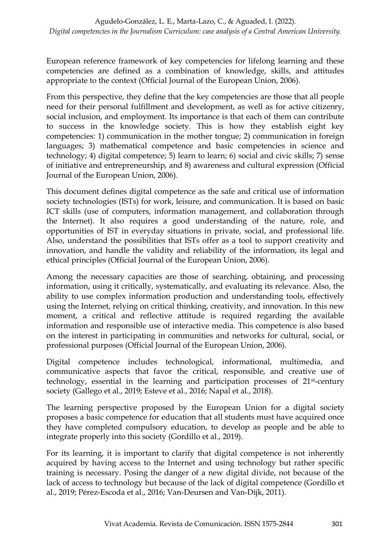European reference framework of key competencies for lifelong learning and these competencies are defined as a combination of knowledge, skills, and attitudes appropriate to the context (Official Journal of the European Union, 2006).

From this perspective, they define that the key competencies are those that all people need for their personal fulfillment and development, as well as for active citizenry, social inclusion, and employment. Its importance is that each of them can contribute to success in the knowledge society. This is how they establish eight key competencies: 1) communication in the mother tongue; 2) communication in foreign languages; 3) mathematical competence and basic competencies in science and technology; 4) digital competence; 5) learn to learn; 6) social and civic skills; 7) sense of initiative and entrepreneurship, and 8) awareness and cultural expression (Official Journal of the European Union, 2006).

This document defines digital competence as the safe and critical use of information society technologies (ISTs) for work, leisure, and communication. It is based on basic ICT skills (use of computers, information management, and collaboration through the Internet). It also requires a good understanding of the nature, role, and opportunities of IST in everyday situations in private, social, and professional life. Also, understand the possibilities that ISTs offer as a tool to support creativity and innovation, and handle the validity and reliability of the information, its legal and ethical principles (Official Journal of the European Union, 2006).

Among the necessary capacities are those of searching, obtaining, and processing information, using it critically, systematically, and evaluating its relevance. Also, the ability to use complex information production and understanding tools, effectively using the Internet, relying on critical thinking, creativity, and innovation. In this new moment, a critical and reflective attitude is required regarding the available information and responsible use of interactive media. This competence is also based on the interest in participating in communities and networks for cultural, social, or professional purposes (Official Journal of the European Union, 2006).

Digital competence includes technological, informational, multimedia, and communicative aspects that favor the critical, responsible, and creative use of technology, essential in the learning and participation processes of 21st-century society (Gallego et al., 2019; Esteve et al., 2016; Napal et al., 2018).

The learning perspective proposed by the European Union for a digital society proposes a basic competence for education that all students must have acquired once they have completed compulsory education, to develop as people and be able to integrate properly into this society (Gordillo et al., 2019).

For its learning, it is important to clarify that digital competence is not inherently acquired by having access to the Internet and using technology but rather specific training is necessary. Posing the danger of a new digital divide, not because of the lack of access to technology but because of the lack of digital competence (Gordillo et al., 2019; Pérez-Escoda et al., 2016; Van-Deursen and Van-Dijk, 2011).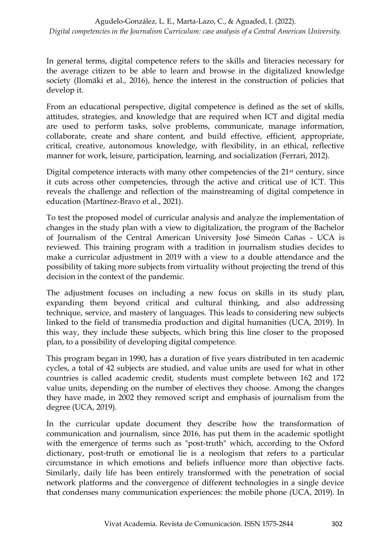In general terms, digital competence refers to the skills and literacies necessary for the average citizen to be able to learn and browse in the digitalized knowledge society (Ilomäki et al., 2016), hence the interest in the construction of policies that develop it.

From an educational perspective, digital competence is defined as the set of skills, attitudes, strategies, and knowledge that are required when ICT and digital media are used to perform tasks, solve problems, communicate, manage information, collaborate, create and share content, and build effective, efficient, appropriate, critical, creative, autonomous knowledge, with flexibility, in an ethical, reflective manner for work, leisure, participation, learning, and socialization (Ferrari, 2012).

Digital competence interacts with many other competencies of the 21<sup>st</sup> century, since it cuts across other competencies, through the active and critical use of ICT. This reveals the challenge and reflection of the mainstreaming of digital competence in education (Martínez-Bravo et al., 2021).

To test the proposed model of curricular analysis and analyze the implementation of changes in the study plan with a view to digitalization, the program of the Bachelor of Journalism of the Central American University José Simeón Cañas - UCA is reviewed. This training program with a tradition in journalism studies decides to make a curricular adjustment in 2019 with a view to a double attendance and the possibility of taking more subjects from virtuality without projecting the trend of this decision in the context of the pandemic.

The adjustment focuses on including a new focus on skills in its study plan, expanding them beyond critical and cultural thinking, and also addressing technique, service, and mastery of languages. This leads to considering new subjects linked to the field of transmedia production and digital humanities (UCA, 2019). In this way, they include these subjects, which bring this line closer to the proposed plan, to a possibility of developing digital competence.

This program began in 1990, has a duration of five years distributed in ten academic cycles, a total of 42 subjects are studied, and value units are used for what in other countries is called academic credit, students must complete between 162 and 172 value units, depending on the number of electives they choose. Among the changes they have made, in 2002 they removed script and emphasis of journalism from the degree (UCA, 2019).

In the curricular update document they describe how the transformation of communication and journalism, since 2016, has put them in the academic spotlight with the emergence of terms such as "post-truth" which, according to the Oxford dictionary, post-truth or emotional lie is a neologism that refers to a particular circumstance in which emotions and beliefs influence more than objective facts. Similarly, daily life has been entirely transformed with the penetration of social network platforms and the convergence of different technologies in a single device that condenses many communication experiences: the mobile phone (UCA, 2019). In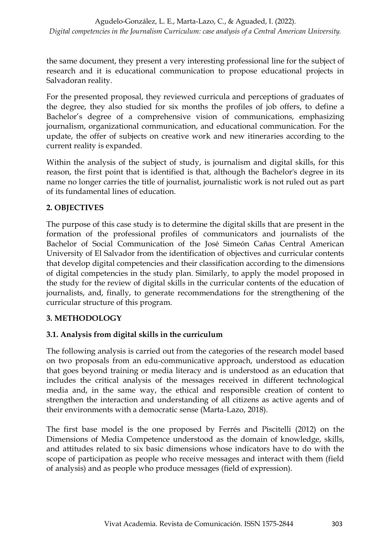the same document, they present a very interesting professional line for the subject of research and it is educational communication to propose educational projects in Salvadoran reality.

For the presented proposal, they reviewed curricula and perceptions of graduates of the degree, they also studied for six months the profiles of job offers, to define a Bachelor's degree of a comprehensive vision of communications, emphasizing journalism, organizational communication, and educational communication. For the update, the offer of subjects on creative work and new itineraries according to the current reality is expanded.

Within the analysis of the subject of study, is journalism and digital skills, for this reason, the first point that is identified is that, although the Bachelor's degree in its name no longer carries the title of journalist, journalistic work is not ruled out as part of its fundamental lines of education.

## **2. OBJECTIVES**

The purpose of this case study is to determine the digital skills that are present in the formation of the professional profiles of communicators and journalists of the Bachelor of Social Communication of the José Simeón Cañas Central American University of El Salvador from the identification of objectives and curricular contents that develop digital competencies and their classification according to the dimensions of digital competencies in the study plan. Similarly, to apply the model proposed in the study for the review of digital skills in the curricular contents of the education of journalists, and, finally, to generate recommendations for the strengthening of the curricular structure of this program.

### **3. METHODOLOGY**

### **3.1. Analysis from digital skills in the curriculum**

The following analysis is carried out from the categories of the research model based on two proposals from an edu-communicative approach, understood as education that goes beyond training or media literacy and is understood as an education that includes the critical analysis of the messages received in different technological media and, in the same way, the ethical and responsible creation of content to strengthen the interaction and understanding of all citizens as active agents and of their environments with a democratic sense (Marta-Lazo, 2018).

The first base model is the one proposed by Ferrés and Piscitelli (2012) on the Dimensions of Media Competence understood as the domain of knowledge, skills, and attitudes related to six basic dimensions whose indicators have to do with the scope of participation as people who receive messages and interact with them (field of analysis) and as people who produce messages (field of expression).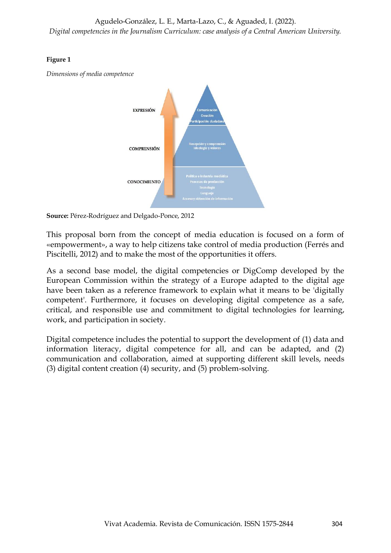#### **Figure 1**

*Dimensions of media competence*



**Source:** Pérez-Rodríguez and Delgado-Ponce, 2012

This proposal born from the concept of media education is focused on a form of «empowerment», a way to help citizens take control of media production (Ferrés and Piscitelli, 2012) and to make the most of the opportunities it offers.

As a second base model, the digital competencies or DigComp developed by the European Commission within the strategy of a Europe adapted to the digital age have been taken as a reference framework to explain what it means to be 'digitally competent'. Furthermore, it focuses on developing digital competence as a safe, critical, and responsible use and commitment to digital technologies for learning, work, and participation in society.

Digital competence includes the potential to support the development of (1) data and information literacy, digital competence for all, and can be adapted, and (2) communication and collaboration, aimed at supporting different skill levels, needs (3) digital content creation (4) security, and (5) problem-solving.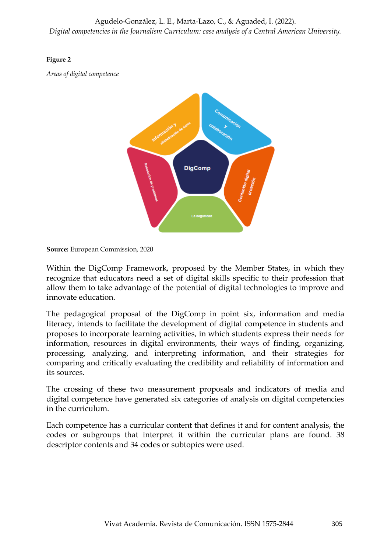#### **Figure 2**

*Areas of digital competence*



**Source:** European Commission, 2020

Within the DigComp Framework, proposed by the Member States, in which they recognize that educators need a set of digital skills specific to their profession that allow them to take advantage of the potential of digital technologies to improve and innovate education.

The pedagogical proposal of the DigComp in point six, information and media literacy, intends to facilitate the development of digital competence in students and proposes to incorporate learning activities, in which students express their needs for information, resources in digital environments, their ways of finding, organizing, processing, analyzing, and interpreting information, and their strategies for comparing and critically evaluating the credibility and reliability of information and its sources.

The crossing of these two measurement proposals and indicators of media and digital competence have generated six categories of analysis on digital competencies in the curriculum.

Each competence has a curricular content that defines it and for content analysis, the codes or subgroups that interpret it within the curricular plans are found. 38 descriptor contents and 34 codes or subtopics were used.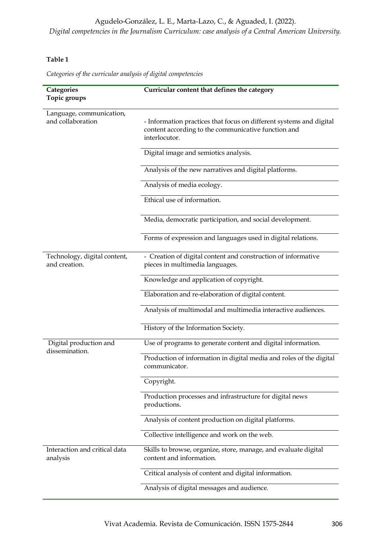### Agudelo-González, L. E., Marta-Lazo, C., & Aguaded, I. (2022).

*Digital competencies in the Journalism Curriculum: case analysis of a Central American University.*

#### **Table 1**

*Categories of the curricular analysis of digital competencies*

| Categories                                    | Curricular content that defines the category                                                                                                |
|-----------------------------------------------|---------------------------------------------------------------------------------------------------------------------------------------------|
| Topic groups                                  |                                                                                                                                             |
| Language, communication,<br>and collaboration | - Information practices that focus on different systems and digital<br>content according to the communicative function and<br>interlocutor. |
|                                               | Digital image and semiotics analysis.                                                                                                       |
|                                               | Analysis of the new narratives and digital platforms.                                                                                       |
|                                               | Analysis of media ecology.                                                                                                                  |
|                                               | Ethical use of information.                                                                                                                 |
|                                               | Media, democratic participation, and social development.                                                                                    |
|                                               | Forms of expression and languages used in digital relations.                                                                                |
| Technology, digital content,<br>and creation. | - Creation of digital content and construction of informative<br>pieces in multimedia languages.                                            |
|                                               | Knowledge and application of copyright.                                                                                                     |
|                                               | Elaboration and re-elaboration of digital content.                                                                                          |
|                                               | Analysis of multimodal and multimedia interactive audiences.                                                                                |
|                                               | History of the Information Society.                                                                                                         |
| Digital production and<br>dissemination.      | Use of programs to generate content and digital information.                                                                                |
|                                               | Production of information in digital media and roles of the digital<br>communicator.                                                        |
|                                               | Copyright.                                                                                                                                  |
|                                               | Production processes and infrastructure for digital news<br>productions.                                                                    |
|                                               | Analysis of content production on digital platforms.                                                                                        |
|                                               | Collective intelligence and work on the web.                                                                                                |
| Interaction and critical data<br>analysis     | Skills to browse, organize, store, manage, and evaluate digital<br>content and information.                                                 |
|                                               | Critical analysis of content and digital information.                                                                                       |
|                                               | Analysis of digital messages and audience.                                                                                                  |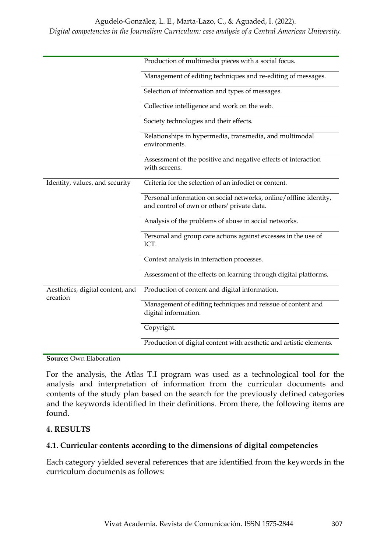#### Agudelo-González, L. E., Marta-Lazo, C., & Aguaded, I. (2022).

#### *Digital competencies in the Journalism Curriculum: case analysis of a Central American University.*

|                                              | Production of multimedia pieces with a social focus.                                                             |
|----------------------------------------------|------------------------------------------------------------------------------------------------------------------|
|                                              | Management of editing techniques and re-editing of messages.                                                     |
|                                              | Selection of information and types of messages.                                                                  |
|                                              | Collective intelligence and work on the web.                                                                     |
|                                              | Society technologies and their effects.                                                                          |
|                                              | Relationships in hypermedia, transmedia, and multimodal<br>environments.                                         |
|                                              | Assessment of the positive and negative effects of interaction<br>with screens.                                  |
| Identity, values, and security               | Criteria for the selection of an infodiet or content.                                                            |
|                                              | Personal information on social networks, online/offline identity,<br>and control of own or others' private data. |
|                                              | Analysis of the problems of abuse in social networks.                                                            |
|                                              | Personal and group care actions against excesses in the use of<br>ICT.                                           |
|                                              | Context analysis in interaction processes.                                                                       |
|                                              | Assessment of the effects on learning through digital platforms.                                                 |
| Aesthetics, digital content, and<br>creation | Production of content and digital information.                                                                   |
|                                              | Management of editing techniques and reissue of content and<br>digital information.                              |
|                                              | Copyright.                                                                                                       |
|                                              | Production of digital content with aesthetic and artistic elements.                                              |

#### **Source:** Own Elaboration

For the analysis, the Atlas T.I program was used as a technological tool for the analysis and interpretation of information from the curricular documents and contents of the study plan based on the search for the previously defined categories and the keywords identified in their definitions. From there, the following items are found.

#### **4. RESULTS**

#### **4.1. Curricular contents according to the dimensions of digital competencies**

Each category yielded several references that are identified from the keywords in the curriculum documents as follows: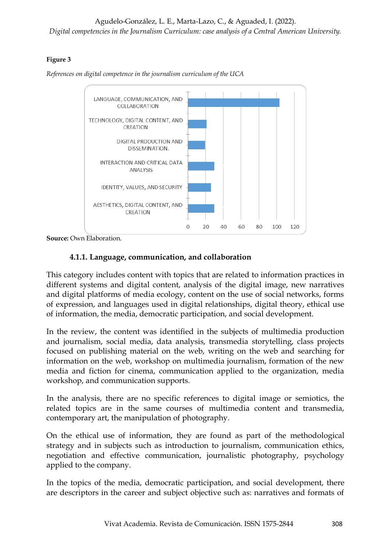Agudelo-González, L. E., Marta-Lazo, C., & Aguaded, I. (2022).

*Digital competencies in the Journalism Curriculum: case analysis of a Central American University.*

### **Figure 3**

*References on digital competence in the journalism curriculum of the UCA*



**Source:** Own Elaboration.

## **4.1.1. Language, communication, and collaboration**

This category includes content with topics that are related to information practices in different systems and digital content, analysis of the digital image, new narratives and digital platforms of media ecology, content on the use of social networks, forms of expression, and languages used in digital relationships, digital theory, ethical use of information, the media, democratic participation, and social development.

In the review, the content was identified in the subjects of multimedia production and journalism, social media, data analysis, transmedia storytelling, class projects focused on publishing material on the web, writing on the web and searching for information on the web, workshop on multimedia journalism, formation of the new media and fiction for cinema, communication applied to the organization, media workshop, and communication supports.

In the analysis, there are no specific references to digital image or semiotics, the related topics are in the same courses of multimedia content and transmedia, contemporary art, the manipulation of photography.

On the ethical use of information, they are found as part of the methodological strategy and in subjects such as introduction to journalism, communication ethics, negotiation and effective communication, journalistic photography, psychology applied to the company.

In the topics of the media, democratic participation, and social development, there are descriptors in the career and subject objective such as: narratives and formats of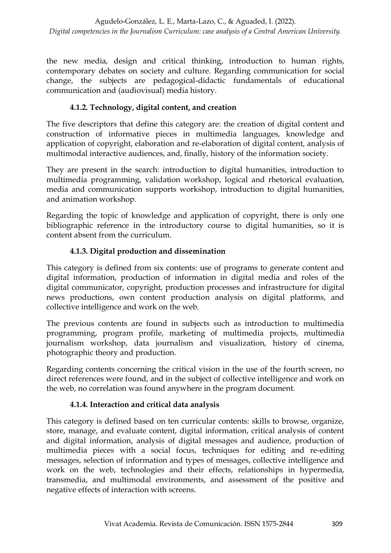the new media, design and critical thinking, introduction to human rights, contemporary debates on society and culture. Regarding communication for social change, the subjects are pedagogical-didactic fundamentals of educational communication and (audiovisual) media history.

## **4.1.2. Technology, digital content, and creation**

The five descriptors that define this category are: the creation of digital content and construction of informative pieces in multimedia languages, knowledge and application of copyright, elaboration and re-elaboration of digital content, analysis of multimodal interactive audiences, and, finally, history of the information society.

They are present in the search: introduction to digital humanities, introduction to multimedia programming, validation workshop, logical and rhetorical evaluation, media and communication supports workshop, introduction to digital humanities, and animation workshop.

Regarding the topic of knowledge and application of copyright, there is only one bibliographic reference in the introductory course to digital humanities, so it is content absent from the curriculum.

## **4.1.3. Digital production and dissemination**

This category is defined from six contents: use of programs to generate content and digital information, production of information in digital media and roles of the digital communicator, copyright, production processes and infrastructure for digital news productions, own content production analysis on digital platforms, and collective intelligence and work on the web.

The previous contents are found in subjects such as introduction to multimedia programming, program profile, marketing of multimedia projects, multimedia journalism workshop, data journalism and visualization, history of cinema, photographic theory and production.

Regarding contents concerning the critical vision in the use of the fourth screen, no direct references were found, and in the subject of collective intelligence and work on the web, no correlation was found anywhere in the program document.

## **4.1.4. Interaction and critical data analysis**

This category is defined based on ten curricular contents: skills to browse, organize, store, manage, and evaluate content, digital information, critical analysis of content and digital information, analysis of digital messages and audience, production of multimedia pieces with a social focus, techniques for editing and re-editing messages, selection of information and types of messages, collective intelligence and work on the web, technologies and their effects, relationships in hypermedia, transmedia, and multimodal environments, and assessment of the positive and negative effects of interaction with screens.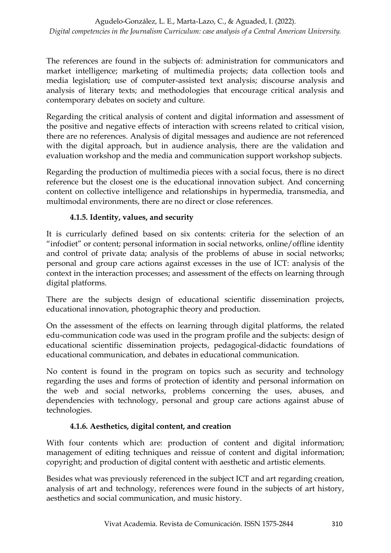The references are found in the subjects of: administration for communicators and market intelligence; marketing of multimedia projects; data collection tools and media legislation; use of computer-assisted text analysis; discourse analysis and analysis of literary texts; and methodologies that encourage critical analysis and contemporary debates on society and culture.

Regarding the critical analysis of content and digital information and assessment of the positive and negative effects of interaction with screens related to critical vision, there are no references. Analysis of digital messages and audience are not referenced with the digital approach, but in audience analysis, there are the validation and evaluation workshop and the media and communication support workshop subjects.

Regarding the production of multimedia pieces with a social focus, there is no direct reference but the closest one is the educational innovation subject. And concerning content on collective intelligence and relationships in hypermedia, transmedia, and multimodal environments, there are no direct or close references.

## **4.1.5. Identity, values, and security**

It is curricularly defined based on six contents: criteria for the selection of an "infodiet" or content; personal information in social networks, online/offline identity and control of private data; analysis of the problems of abuse in social networks; personal and group care actions against excesses in the use of ICT: analysis of the context in the interaction processes; and assessment of the effects on learning through digital platforms.

There are the subjects design of educational scientific dissemination projects, educational innovation, photographic theory and production.

On the assessment of the effects on learning through digital platforms, the related edu-communication code was used in the program profile and the subjects: design of educational scientific dissemination projects, pedagogical-didactic foundations of educational communication, and debates in educational communication.

No content is found in the program on topics such as security and technology regarding the uses and forms of protection of identity and personal information on the web and social networks, problems concerning the uses, abuses, and dependencies with technology, personal and group care actions against abuse of technologies.

### **4.1.6. Aesthetics, digital content, and creation**

With four contents which are: production of content and digital information; management of editing techniques and reissue of content and digital information; copyright; and production of digital content with aesthetic and artistic elements.

Besides what was previously referenced in the subject ICT and art regarding creation, analysis of art and technology, references were found in the subjects of art history, aesthetics and social communication, and music history.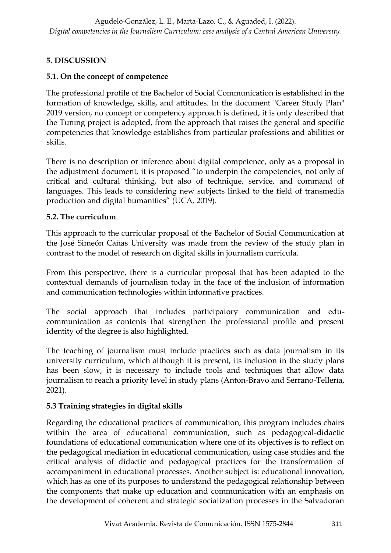## **5. DISCUSSION**

## **5.1. On the concept of competence**

The professional profile of the Bachelor of Social Communication is established in the formation of knowledge, skills, and attitudes. In the document "Career Study Plan" 2019 version, no concept or competency approach is defined, it is only described that the Tuning project is adopted, from the approach that raises the general and specific competencies that knowledge establishes from particular professions and abilities or skills.

There is no description or inference about digital competence, only as a proposal in the adjustment document, it is proposed "to underpin the competencies, not only of critical and cultural thinking, but also of technique, service, and command of languages. This leads to considering new subjects linked to the field of transmedia production and digital humanities" (UCA, 2019).

## **5.2. The curriculum**

This approach to the curricular proposal of the Bachelor of Social Communication at the José Simeón Cañas University was made from the review of the study plan in contrast to the model of research on digital skills in journalism curricula.

From this perspective, there is a curricular proposal that has been adapted to the contextual demands of journalism today in the face of the inclusion of information and communication technologies within informative practices.

The social approach that includes participatory communication and educommunication as contents that strengthen the professional profile and present identity of the degree is also highlighted.

The teaching of journalism must include practices such as data journalism in its university curriculum, which although it is present, its inclusion in the study plans has been slow, it is necessary to include tools and techniques that allow data journalism to reach a priority level in study plans (Anton-Bravo and Serrano-Tellería, 2021).

## **5.3 Training strategies in digital skills**

Regarding the educational practices of communication, this program includes chairs within the area of educational communication, such as pedagogical-didactic foundations of educational communication where one of its objectives is to reflect on the pedagogical mediation in educational communication, using case studies and the critical analysis of didactic and pedagogical practices for the transformation of accompaniment in educational processes. Another subject is: educational innovation, which has as one of its purposes to understand the pedagogical relationship between the components that make up education and communication with an emphasis on the development of coherent and strategic socialization processes in the Salvadoran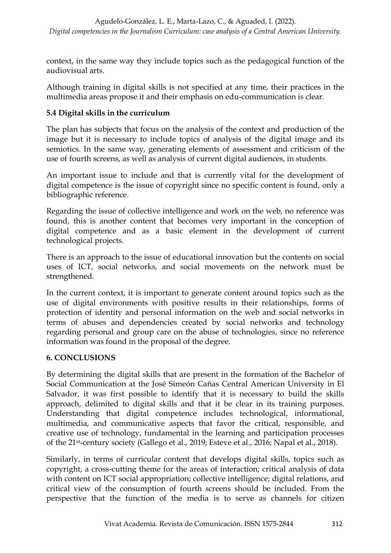context, in the same way they include topics such as the pedagogical function of the audiovisual arts.

Although training in digital skills is not specified at any time, their practices in the multimedia areas propose it and their emphasis on edu-communication is clear.

## **5.4 Digital skills in the curriculum**

The plan has subjects that focus on the analysis of the context and production of the image but it is necessary to include topics of analysis of the digital image and its semiotics. In the same way, generating elements of assessment and criticism of the use of fourth screens, as well as analysis of current digital audiences, in students.

An important issue to include and that is currently vital for the development of digital competence is the issue of copyright since no specific content is found, only a bibliographic reference.

Regarding the issue of collective intelligence and work on the web, no reference was found, this is another content that becomes very important in the conception of digital competence and as a basic element in the development of current technological projects.

There is an approach to the issue of educational innovation but the contents on social uses of ICT, social networks, and social movements on the network must be strengthened.

In the current context, it is important to generate content around topics such as the use of digital environments with positive results in their relationships, forms of protection of identity and personal information on the web and social networks in terms of abuses and dependencies created by social networks and technology regarding personal and group care on the abuse of technologies, since no reference information was found in the proposal of the degree.

### **6. CONCLUSIONS**

By determining the digital skills that are present in the formation of the Bachelor of Social Communication at the José Simeón Cañas Central American University in El Salvador, it was first possible to identify that it is necessary to build the skills approach, delimited to digital skills and that it be clear in its training purposes. Understanding that digital competence includes technological, informational, multimedia, and communicative aspects that favor the critical, responsible, and creative use of technology, fundamental in the learning and participation processes of the 21st-century society (Gallego et al., 2019; Esteve et al., 2016; Napal et al., 2018).

Similarly, in terms of curricular content that develops digital skills, topics such as copyright, a cross-cutting theme for the areas of interaction; critical analysis of data with content on ICT social appropriation; collective intelligence; digital relations, and critical view of the consumption of fourth screens should be included. From the perspective that the function of the media is to serve as channels for citizen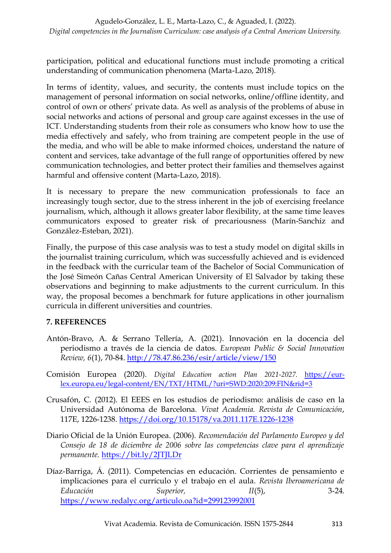participation, political and educational functions must include promoting a critical understanding of communication phenomena (Marta-Lazo, 2018).

In terms of identity, values, and security, the contents must include topics on the management of personal information on social networks, online/offline identity, and control of own or others' private data. As well as analysis of the problems of abuse in social networks and actions of personal and group care against excesses in the use of ICT. Understanding students from their role as consumers who know how to use the media effectively and safely, who from training are competent people in the use of the media, and who will be able to make informed choices, understand the nature of content and services, take advantage of the full range of opportunities offered by new communication technologies, and better protect their families and themselves against harmful and offensive content (Marta-Lazo, 2018).

It is necessary to prepare the new communication professionals to face an increasingly tough sector, due to the stress inherent in the job of exercising freelance journalism, which, although it allows greater labor flexibility, at the same time leaves communicators exposed to greater risk of precariousness (Marín-Sanchiz and González-Esteban, 2021).

Finally, the purpose of this case analysis was to test a study model on digital skills in the journalist training curriculum, which was successfully achieved and is evidenced in the feedback with the curricular team of the Bachelor of Social Communication of the José Simeón Cañas Central American University of El Salvador by taking these observations and beginning to make adjustments to the current curriculum. In this way, the proposal becomes a benchmark for future applications in other journalism curricula in different universities and countries.

### **7. REFERENCES**

- Antón-Bravo, A. & Serrano Tellería, A. (2021). Innovación en la docencia del periodismo a través de la ciencia de datos. *European Public & Social Innovation Review, 6*(1), 70-84.<http://78.47.86.236/esir/article/view/150>
- Comisión Europea (2020). *Digital Education action Plan 2021-2027.* [https://eur](https://eur-lex.europa.eu/legal-content/EN/TXT/HTML/?uri=SWD:2020:209:FIN&rid=3)[lex.europa.eu/legal-content/EN/TXT/HTML/?uri=SWD:2020:209:FIN&rid=3](https://eur-lex.europa.eu/legal-content/EN/TXT/HTML/?uri=SWD:2020:209:FIN&rid=3)
- Crusafón, C. (2012). El EEES en los estudios de periodismo: análisis de caso en la Universidad Autónoma de Barcelona. *Vivat Academia. Revista de Comunicación*, 117E, 1226-1238.<https://doi.org/10.15178/va.2011.117E.1226-1238>
- Diario Oficial de la Unión Europea. (2006). *Recomendación del Parlamento Europeo y del Consejo de 18 de diciembre de 2006 sobre las competencias clave para el aprendizaje permanente.* <https://bit.ly/2JTJLDr>
- Díaz-Barriga, Á. (2011). Competencias en educación. Corrientes de pensamiento e implicaciones para el currículo y el trabajo en el aula*. Revista Iberoamericana de Educación Superior, II*(5), 3-24. <https://www.redalyc.org/articulo.oa?id=299123992001>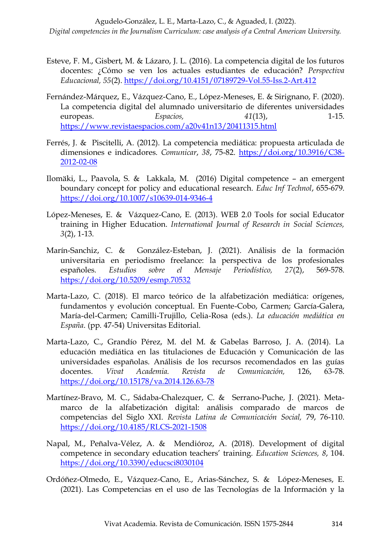- Esteve, F. M., Gisbert, M. & Lázaro, J. L. (2016). La competencia digital de los futuros docentes: ¿Cómo se ven los actuales estudiantes de educación? *Perspectiva Educacional, 55*(2).<https://doi.org/10.4151/07189729-Vol.55-Iss.2-Art.412>
- Fernández-Márquez, E., Vázquez-Cano, E., López-Meneses, E. & Sirignano, F. (2020). La competencia digital del alumnado universitario de diferentes universidades europeas. *Espacios, 41*(13), 1-15. <https://www.revistaespacios.com/a20v41n13/20411315.html>
- Ferrés, J. & Piscitelli, A. (2012). La competencia mediática: propuesta articulada de dimensiones e indicadores. *Comunicar*, *38*, 75-82. [https://doi.org/10.3916/C38-](https://doi.org/10.3916/C38-2012-02-08) [2012-02-08](https://doi.org/10.3916/C38-2012-02-08)
- Ilomäki, L., Paavola, S. & Lakkala, M. (2016) Digital competence an emergent boundary concept for policy and educational research. *Educ Inf Technol*, 655-679. <https://doi.org/10.1007/s10639-014-9346-4>
- López-Meneses, E. & Vázquez-Cano, E. (2013). WEB 2.0 Tools for social Educator training in Higher Education. *International Journal of Research in Social Sciences, 3*(2), 1-13.
- Marín-Sanchiz, C. & González-Esteban, J. (2021). Análisis de la formación universitaria en periodismo freelance: la perspectiva de los profesionales españoles*. Estudios sobre el Mensaje Periodístico, 27*(2), 569-578. <https://doi.org/10.5209/esmp.70532>
- Marta-Lazo, C. (2018). El marco teórico de la alfabetización mediática: orígenes, fundamentos y evolución conceptual. En Fuente-Cobo, Carmen; García-Galera, María-del-Carmen; Camilli-Trujillo, Celia-Rosa (eds.). *La educación mediática en España*. (pp. 47-54) Universitas Editorial.
- Marta-Lazo, C., Grandío Pérez, M. del M. & Gabelas Barroso, J. A. (2014). La educación mediática en las titulaciones de Educación y Comunicación de las universidades españolas. Análisis de los recursos recomendados en las guías docentes. *Vivat Academia. Revista de Comunicación,* 126, 63-78. <https://doi.org/10.15178/va.2014.126.63-78>
- Martínez-Bravo, M. C., Sádaba-Chalezquer, C. & Serrano-Puche, J. (2021). Metamarco de la alfabetización digital: análisis comparado de marcos de competencias del Siglo XXI. *Revista Latina de Comunicación Social,* 79, 76-110. <https://doi.org/10.4185/RLCS-2021-1508>
- Napal, M., Peñalva-Vélez, A. & Mendióroz, A. (2018). Development of digital competence in secondary education teachers' training. *Education Sciences, 8*, 104. <https://doi.org/10.3390/educsci8030104>
- Ordóñez-Olmedo, E., Vázquez-Cano, E., Arias-Sánchez, S. & López-Meneses, E. (2021). Las Competencias en el uso de las Tecnologías de la Información y la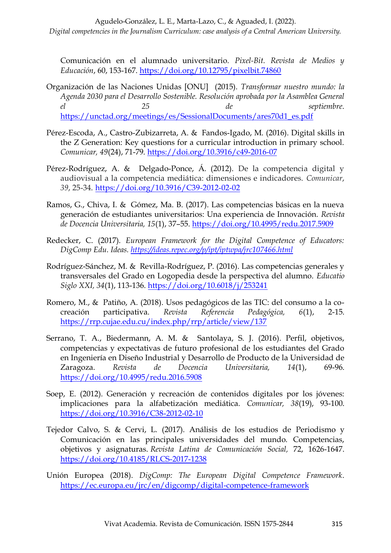Comunicación en el alumnado universitario. *Pixel-Bit. Revista de Medios y Educación*, 60, 153-167.<https://doi.org/10.12795/pixelbit.74860>

- Organización de las Naciones Unidas [ONU] (2015). *Transformar nuestro mundo: la Agenda 2030 para el Desarrollo Sostenible. Resolución aprobada por la Asamblea General el 25 de septiembre*. [https://unctad.org/meetings/es/SessionalDocuments/ares70d1\\_es.pdf](https://unctad.org/meetings/es/SessionalDocuments/ares70d1_es.pdf)
- Pérez-Escoda, A., Castro-Zubizarreta, A. & Fandos-Igado, M. (2016). Digital skills in the Z Generation: Key questions for a curricular introduction in primary school. *Comunicar, 49*(24), 71-79.<https://doi.org/10.3916/c49-2016-07>
- Pérez-Rodríguez, A. & Delgado-Ponce, Á. (2012). De la competencia digital y audiovisual a la competencia mediática: dimensiones e indicadores. *Comunicar*, *39*, 25-34.<https://doi.org/10.3916/C39-2012-02-02>
- Ramos, G., Chiva, I. & Gómez, Ma. B. (2017). Las competencias básicas en la nueva generación de estudiantes universitarios: Una experiencia de Innovación. *Revista de Docencia Universitaria, 15*(1), 37–55.<https://doi.org/10.4995/redu.2017.5909>
- Redecker, C. (2017). *European Framework for the Digital Competence of Educators: DigComp Edu. Ideas.<https://ideas.repec.org/p/ipt/iptwpa/jrc107466.html>*
- Rodríguez-Sánchez, M. & Revilla-Rodríguez, P. (2016). Las competencias generales y transversales del Grado en Logopedia desde la perspectiva del alumno. *Educatio Siglo XXI, 34*(1), 113-136.<https://doi.org/10.6018/j/253241>
- Romero, M., & Patiño, A. (2018). Usos pedagógicos de las TIC: del consumo a la cocreación participativa. *Revista Referencia Pedagógica, 6*(1), 2-15. <https://rrp.cujae.edu.cu/index.php/rrp/article/view/137>
- Serrano, T. A., Biedermann, A. M. & Santolaya, S. J. (2016). Perfil, objetivos, competencias y expectativas de futuro profesional de los estudiantes del Grado en Ingeniería en Diseño Industrial y Desarrollo de Producto de la Universidad de Zaragoza. *Revista de Docencia Universitaria, 14*(1), 69-96. <https://doi.org/10.4995/redu.2016.5908>
- Soep, E. (2012). Generación y recreación de contenidos digitales por los jóvenes: implicaciones para la alfabetización mediática. *Comunicar, 38*(19), 93-100. <https://doi.org/10.3916/C38-2012-02-10>
- Tejedor Calvo, S. & Cervi, L. (2017). Análisis de los estudios de Periodismo y Comunicación en las principales universidades del mundo. Competencias, objetivos y asignaturas. *Revista Latina de Comunicación Social,* 72, 1626-1647. <https://doi.org/10.4185/RLCS-2017-1238>
- Unión Europea (2018). *DigComp: The European Digital Competence Framework*. <https://ec.europa.eu/jrc/en/digcomp/digital-competence-framework>